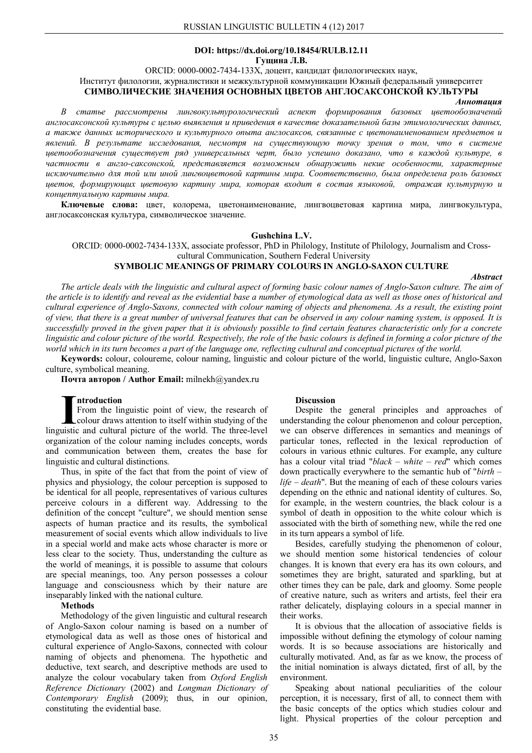### **DOI: https://dx.doi.org/10.18454/RULB.12.11 Гущина Л.В.**

ORCID: 0000-0002-7434-133X, доцент, кандидат филологических наук,

Институт филологии, журналистики и межкультурной коммуникации Южный федеральный университет

### **СИМВОЛИЧЕСКИЕ ЗНАЧЕНИЯ ОСНОВНЫХ ЦВЕТОВ АНГЛОСАКСОНСКОЙ КУЛЬТУРЫ**

*Аннотация*

*В статье рассмотрены лингвокультурологический аспект формирования базовых цветообозначений англосаксонской культуры с целью выявления и приведения в качестве доказательной базы этимологических данных, а также данных исторического и культурного опыта англосаксов, связанные с цветонаименованием предметов и явлений. В результате исследования, несмотря на существующую точку зрения о том, что в системе цветообозначения существует ряд универсальных черт, было успешно доказано, что в каждой культуре, в частности в англо-саксонской, представляется возможным обнаружить некие особенности, характерные исключительно для той или иной лингвоцветовой картины мира. Соответственно, была определена роль базовых цветов, формирующих цветовую картину мира, которая входит в состав языковой, отражая культурную и концептуальную картины мира.*

**Ключевые слова:** цвет, колорема, цветонаименование, лингвоцветовая картина мира, лингвокультура, англосаксонская культура, символическое значение.

### **Gushchina L.V.**

ORCID: 0000-0002-7434-133X, associate professor, PhD in Philology, Institute of Philology, Journalism and Crosscultural Communication, Southern Federal University

## **SYMBOLIC MEANINGS OF PRIMARY COLOURS IN ANGLO-SAXON CULTURE**

*Abstract*

*The article deals with the linguistic and cultural aspect of forming basic colour names of Anglo-Saxon culture. The aim of the article is to identify and reveal as the evidential base a number of etymological data as well as those ones of historical and cultural experience of Anglo-Saxons, connected with colour naming of objects and phenomena. As a result, the existing point of view, that there is a great number of universal features that can be observed in any colour naming system, is opposed. It is successfully proved in the given paper that it is obviously possible to find certain features characteristic only for a concrete linguistic and colour picture of the world. Respectively, the role of the basic colours is defined in forming a color picture of the world which in its turn becomes a part of the language one, reflecting cultural and conceptual pictures of the world.*

**Keywords:** colour, coloureme, colour naming, linguistic and colour picture of the world, linguistic culture, Anglo-Saxon culture, symbolical meaning.

**Почта авторов / Author Email:** milnekh@yandex.ru

### **ntroduction**

From the linguistic point of view, the research of colour draws attention to itself within studying of the **Introduction**<br>From the linguistic point of view, the research of<br>colour draws attention to itself within studying of the<br>linguistic and cultural picture of the world. The three-level organization of the colour naming includes concepts, words and communication between them, creates the base for linguistic and cultural distinctions.

Thus, in spite of the fact that from the point of view of physics and physiology, the colour perception is supposed to be identical for all people, representatives of various cultures perceive colours in a different way. Addressing to the definition of the concept "culture", we should mention sense aspects of human practice and its results, the symbolical measurement of social events which allow individuals to live in a special world and make acts whose character is more or less clear to the society. Thus, understanding the culture as the world of meanings, it is possible to assume that colours are special meanings, too. Any person possesses a colour language and consciousness which by their nature are inseparably linked with the national culture.

# **Methods**

Methodology of the given linguistic and cultural research of Anglo-Saxon colour naming is based on a number of etymological data as well as those ones of historical and cultural experience of Anglo-Saxons, connected with colour naming of objects and phenomena. The hypothetic and deductive, text search, and descriptive methods are used to analyze the colour vocabulary taken from *Oxford English Reference Dictionary* (2002) and *Longman Dictionary of Contemporary English* (2009); thus, in our opinion, constituting the evidential base.

#### **Discussion**

Despite the general principles and approaches of understanding the colour phenomenon and colour perception, we can observe differences in semantics and meanings of particular tones, reflected in the lexical reproduction of colours in various ethnic cultures. For example, any culture has a colour vital triad "*black – white – red*" which comes down practically everywhere to the semantic hub of "*birth – life – death*". But the meaning of each of these colours varies depending on the ethnic and national identity of cultures. So, for example, in the western countries, the black colour is a symbol of death in opposition to the white colour which is associated with the birth of something new, while the red one in its turn appears a symbol of life.

Besides, carefully studying the phenomenon of colour, we should mention some historical tendencies of colour changes. It is known that every era has its own colours, and sometimes they are bright, saturated and sparkling, but at other times they can be pale, dark and gloomy. Some people of creative nature, such as writers and artists, feel their era rather delicately, displaying colours in a special manner in their works.

It is obvious that the allocation of associative fields is impossible without defining the etymology of colour naming words. It is so because associations are historically and culturally motivated. And, as far as we know, the process of the initial nomination is always dictated, first of all, by the environment.

Speaking about national peculiarities of the colour perception, it is necessary, first of all, to connect them with the basic concepts of the optics which studies colour and light. Physical properties of the colour perception and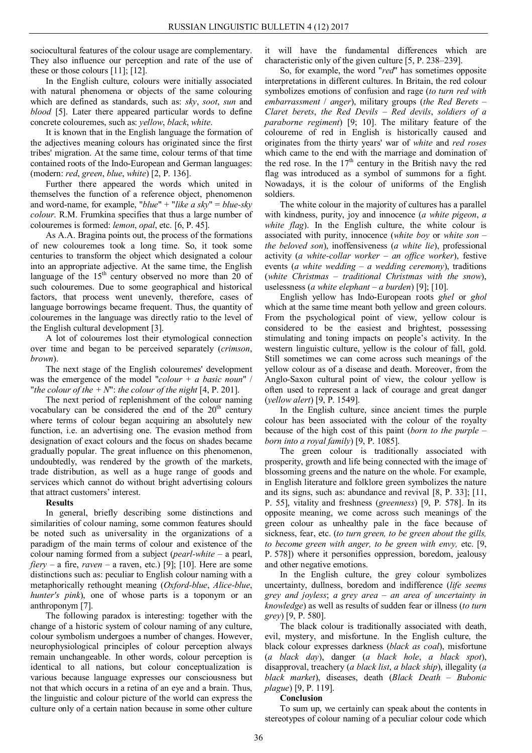sociocultural features of the colour usage are complementary. They also influence our perception and rate of the use of these or those colours [11]; [12].

In the English culture, colours were initially associated with natural phenomena or objects of the same colouring which are defined as standards, such as: *sky*, *soot*, *sun* and *blood* [5]. Later there appeared particular words to define concrete colouremes, such as: *yellow*, *black*, *white*.

It is known that in the English language the formation of the adjectives meaning colours has originated since the first tribes' migration. At the same time, colour terms of that time contained roots of the Indo-European and German languages: (modern: *red*, *green*, *blue*, *white*) [2, P. 136].

Further there appeared the words which united in themselves the function of a reference object, phenomenon and word-name, for example, "*blue*" + "*like a sky*" = *blue-sky colour*. R.M. Frumkina specifies that thus a large number of colouremes is formed: *lemon*, *opal*, etc. [6, P. 45].

As A.A. Braginа points out, the process of the formations of new colouremes took a long time. So, it took some centuries to transform the object which designated a colour into an appropriate adjective. At the same time, the English language of the  $15<sup>th</sup>$  century observed no more than 20 of such colouremes. Due to some geographical and historical factors, that process went unevenly, therefore, cases of language borrowings became frequent. Thus, the quantity of colouremes in the language was directly ratio to the level of the English cultural development [3].

A lot of colouremes lost their etymological connection over time and began to be perceived separately (*crimson*, *brown*).

The next stage of the English colouremes' development was the emergence of the model "*colour + a basic noun*" / "*the colour of the + N*": *the colour of the night* [4, P. 201].

The next period of replenishment of the colour naming vocabulary can be considered the end of the  $20<sup>th</sup>$  century where terms of colour began acquiring an absolutely new function, i.e. an advertising one. The evasion method from designation of exact colours and the focus on shades became gradually popular. The great influence on this phenomenon, undoubtedly, was rendered by the growth of the markets, trade distribution, as well as a huge range of goods and services which cannot do without bright advertising colours that attract customers' interest.

### **Results**

In general, briefly describing some distinctions and similarities of colour naming, some common features should be noted such as universality in the organizations of a paradigm of the main terms of colour and existence of the colour naming formed from a subject (*pearl-white* – a pearl, *fiery* – a fire, *raven* – a raven, etc.) [9]; [10]. Here are some distinctions such as: peculiar to English colour naming with a metaphorically rethought meaning (*Oxford-blue*, *Alice-blue*, *hunter's pink*), one of whose parts is a toponym or an anthroponym [7].

The following paradox is interesting: together with the change of a historic system of colour naming of any culture, colour symbolism undergoes a number of changes. However, neurophysiological principles of colour perception always remain unchangeable. In other words, colour perception is identical to all nations, but colour conceptualization is various because language expresses our consciousness but not that which occurs in a retina of an eye and a brain. Thus, the linguistic and colour picture of the world can express the culture only of a certain nation because in some other culture

it will have the fundamental differences which are characteristic only of the given culture [5, P. 238–239].

So, for example, the word "*red*" has sometimes opposite interpretations in different cultures. In Britain, the red colour symbolizes emotions of confusion and rage (*to turn red with embarrassment* / *anger*), military groups (*the Red Berets – Claret berets*, *the Red Devils – Red devils*, *soldiers of a paraborne regiment*) [9; 10]. The military feature of the coloureme of red in English is historically caused and originates from the thirty years' war of *white* and *red roses* which came to the end with the marriage and domination of the red rose. In the  $17<sup>th</sup>$  century in the British navy the red flag was introduced as a symbol of summons for a fight. Nowadays, it is the colour of uniforms of the English soldiers.

The white colour in the majority of cultures has a parallel with kindness, purity, joy and innocence (*a white pigeon*, *a white flag*). In the English culture, the white colour is associated with purity, innocence (*white boy* or *white son – the beloved son*), inoffensiveness (*a white lie*), professional activity (*a white-collar worker – an office worker*), festive events (*a white wedding – a wedding ceremony*), traditions (*white Christmas – traditional Christmas with the snow*), uselessness (*a white elephant – a burden*) [9]; [10].

English yellow has Indo-European roots *ghel* or *ghol* which at the same time meant both yellow and green colours. From the psychological point of view, yellow colour is considered to be the easiest and brightest, possessing stimulating and toning impacts on people's activity. In the western linguistic culture, yellow is the colour of fall, gold. Still sometimes we can come across such meanings of the yellow colour as of a disease and death. Moreover, from the Anglo-Saxon cultural point of view, the colour yellow is often used to represent a lack of courage and great danger (*yellow alert*) [9, P. 1549].

In the English culture, since ancient times the purple colour has been associated with the colour of the royalty because of the high cost of this paint (*born to the purple – born into a royal family*) [9, P. 1085].

The green colour is traditionally associated with prosperity, growth and life being connected with the image of blossoming greens and the nature on the whole. For example, in English literature and folklore green symbolizes the nature and its signs, such as: abundance and revival [8, P. 33]; [11, P. 55], vitality and freshness (*greenness*) [9, P. 578]. In its opposite meaning, we come across such meanings of the green colour as unhealthy pale in the face because of sickness, fear, etc. (*to turn green, to be green about the gills, to become green with anger, to be green with envy,* etc. [9, P. 578]) where it personifies oppression, boredom, jealousy and other negative emotions.

In the English culture, the grey colour symbolizes uncertainty, dullness, boredom and indifference (*life seems grey and joyless*; *a grey area – an area of uncertainty in knowledge*) as well as results of sudden fear or illness (*to turn grey*) [9, P. 580].

The black colour is traditionally associated with death, evil, mystery, and misfortune. In the English culture, the black colour expresses darkness (*black as coal*), misfortune (*a black day*), danger (*a black hole*, *a black spot*), disapproval, treachery (*a black list*, *a black ship*), illegality (*a black market*), diseases, death (*Black Death* – *Bubonic plague*) [9, P. 119].

# **Conclusion**

To sum up, we certainly can speak about the contents in stereotypes of colour naming of a peculiar colour code which